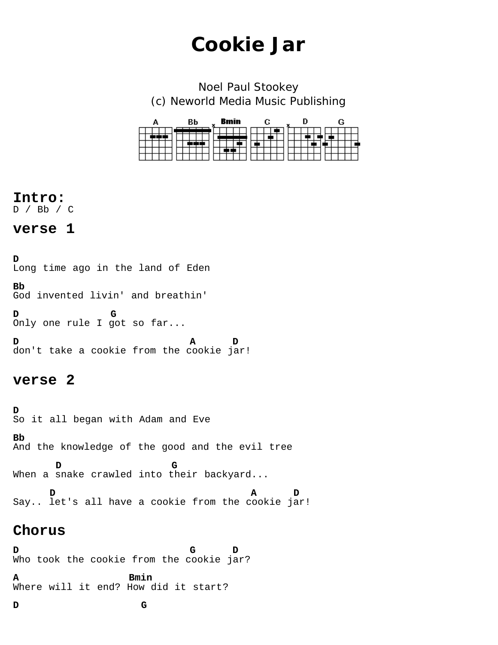# **Cookie Jar**

Noel Paul Stookey (c) Neworld Media Music Publishing

| Δ | BЬ | <b>Bmin</b><br>x | С | n<br>x | G |
|---|----|------------------|---|--------|---|
|   |    |                  |   |        |   |

# **Intro:**

D / Bb / C

# **verse 1**

**D** Long time ago in the land of Eden **Bb** God invented livin' and breathin' **D G**  Only one rule I got so far... **D A D** don't take a cookie from the cookie jar!

# **verse 2**

**D**<br>So it all began with Adam and Eve

**Bb** And the knowledge of the good and the evil tree

**D G** When a snake crawled into their backyard...

**D A D** Say.. let's all have a cookie from the cookie jar!

# **Chorus**

**D G D**  Who took the cookie from the cookie jar?

**A Bmin** Where will it end? How did it start?

**D G**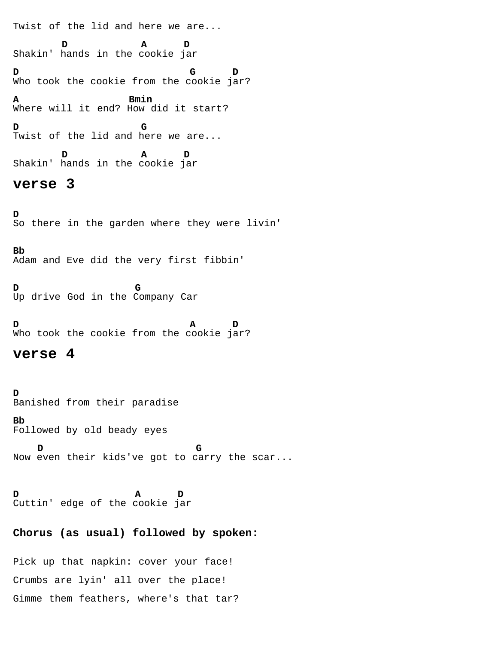Twist of the lid and here we are...

 **D A D** Shakin' hands in the cookie jar **D G D** Who took the cookie from the cookie jar? **A Bmin** Where will it end? How did it start? **D G** Twist of the lid and here we are...

 **D A D** Shakin' hands in the cookie jar

## **verse 3**

**D**<br>So there in the garden where they were livin'

#### **Bb**

Adam and Eve did the very first fibbin'

**D G** Up drive God in the Company Car

**D A D** Who took the cookie from the cookie jar?

### **verse 4**

**D**<br>Banished from their paradise **Bb** Followed by old beady eyes

**D D G** Now even their kids've got to carry the scar...

**D A D** Cuttin' edge of the cookie jar

### **Chorus (as usual) followed by spoken:**

Pick up that napkin: cover your face! Crumbs are lyin' all over the place! Gimme them feathers, where's that tar?